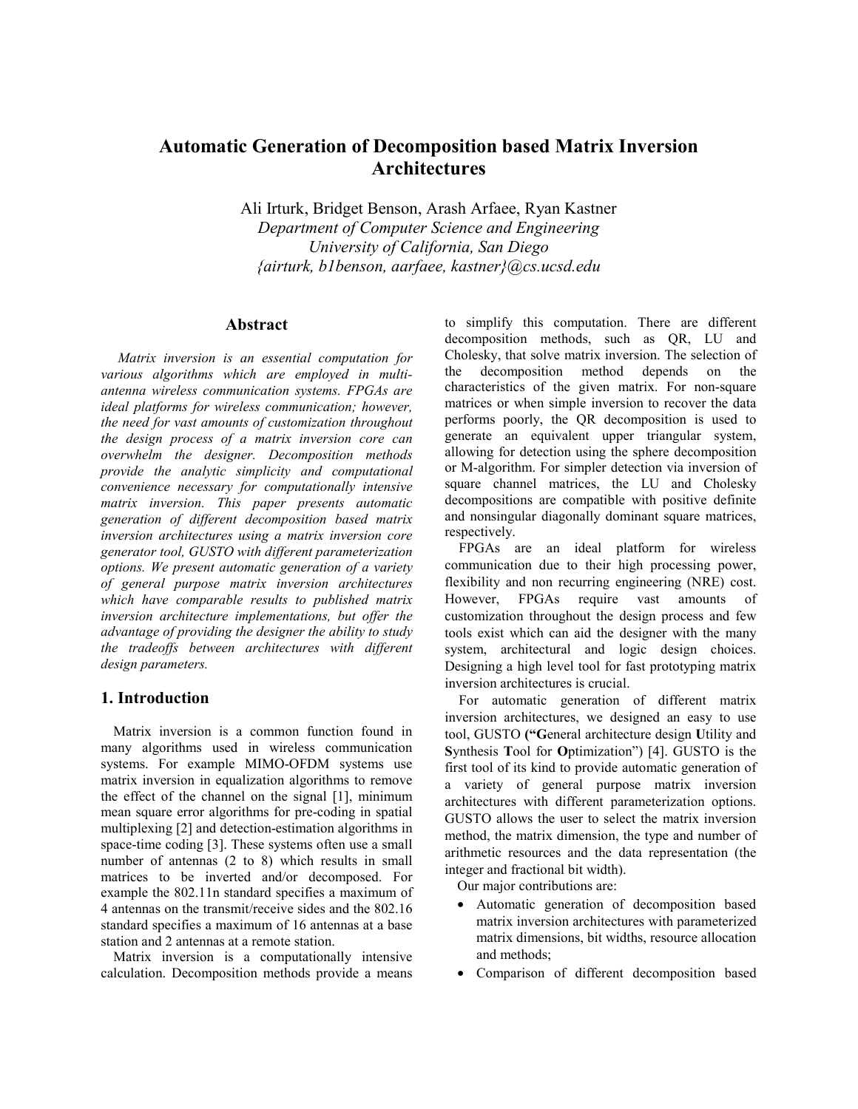# **Automatic Generation of Decomposition based Matrix Inversion Architectures**

Ali Irturk, Bridget Benson, Arash Arfaee, Ryan Kastner *Department of Computer Science and Engineering University of California, San Diego {airturk, b1benson, aarfaee, kastner}@cs.ucsd.edu* 

## **Abstract**

*Matrix inversion is an essential computation for various algorithms which are employed in multiantenna wireless communication systems. FPGAs are ideal platforms for wireless communication; however, the need for vast amounts of customization throughout the design process of a matrix inversion core can overwhelm the designer. Decomposition methods provide the analytic simplicity and computational convenience necessary for computationally intensive matrix inversion. This paper presents automatic generation of different decomposition based matrix inversion architectures using a matrix inversion core generator tool, GUSTO with different parameterization options. We present automatic generation of a variety of general purpose matrix inversion architectures which have comparable results to published matrix inversion architecture implementations, but offer the advantage of providing the designer the ability to study the tradeoffs between architectures with different design parameters.* 

### **1. Introduction**

Matrix inversion is a common function found in many algorithms used in wireless communication systems. For example MIMO-OFDM systems use matrix inversion in equalization algorithms to remove the effect of the channel on the signal [1], minimum mean square error algorithms for pre-coding in spatial multiplexing [2] and detection-estimation algorithms in space-time coding [3]. These systems often use a small number of antennas (2 to 8) which results in small matrices to be inverted and/or decomposed. For example the 802.11n standard specifies a maximum of 4 antennas on the transmit/receive sides and the 802.16 standard specifies a maximum of 16 antennas at a base station and 2 antennas at a remote station.

Matrix inversion is a computationally intensive calculation. Decomposition methods provide a means to simplify this computation. There are different decomposition methods, such as QR, LU and Cholesky, that solve matrix inversion. The selection of the decomposition method depends on the characteristics of the given matrix. For non-square matrices or when simple inversion to recover the data performs poorly, the QR decomposition is used to generate an equivalent upper triangular system, allowing for detection using the sphere decomposition or M-algorithm. For simpler detection via inversion of square channel matrices, the LU and Cholesky decompositions are compatible with positive definite and nonsingular diagonally dominant square matrices, respectively.

FPGAs are an ideal platform for wireless communication due to their high processing power, flexibility and non recurring engineering (NRE) cost. However, FPGAs require vast amounts of customization throughout the design process and few tools exist which can aid the designer with the many system, architectural and logic design choices. Designing a high level tool for fast prototyping matrix inversion architectures is crucial.

For automatic generation of different matrix inversion architectures, we designed an easy to use tool, GUSTO **("G**eneral architecture design **U**tility and **S**ynthesis **T**ool for **O**ptimization") [4]. GUSTO is the first tool of its kind to provide automatic generation of a variety of general purpose matrix inversion architectures with different parameterization options. GUSTO allows the user to select the matrix inversion method, the matrix dimension, the type and number of arithmetic resources and the data representation (the integer and fractional bit width).

Our major contributions are:

- Automatic generation of decomposition based matrix inversion architectures with parameterized matrix dimensions, bit widths, resource allocation and methods;
- Comparison of different decomposition based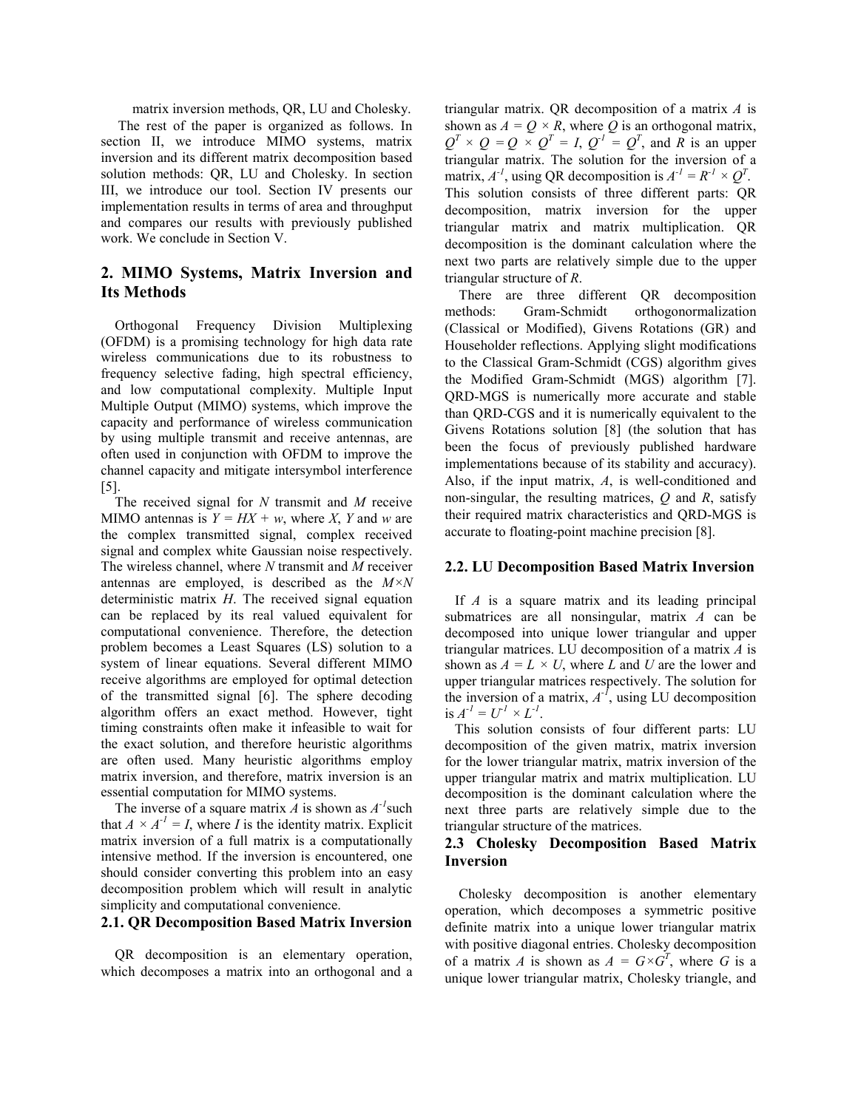matrix inversion methods, QR, LU and Cholesky. The rest of the paper is organized as follows. In section II, we introduce MIMO systems, matrix inversion and its different matrix decomposition based solution methods: QR, LU and Cholesky. In section III, we introduce our tool. Section IV presents our implementation results in terms of area and throughput and compares our results with previously published work. We conclude in Section V.

# **2. MIMO Systems, Matrix Inversion and Its Methods**

Orthogonal Frequency Division Multiplexing (OFDM) is a promising technology for high data rate wireless communications due to its robustness to frequency selective fading, high spectral efficiency, and low computational complexity. Multiple Input Multiple Output (MIMO) systems, which improve the capacity and performance of wireless communication by using multiple transmit and receive antennas, are often used in conjunction with OFDM to improve the channel capacity and mitigate intersymbol interference  $\vert 5 \vert$ .

The received signal for *N* transmit and *M* receive MIMO antennas is  $Y = HX + w$ , where *X*, *Y* and *w* are the complex transmitted signal, complex received signal and complex white Gaussian noise respectively. The wireless channel, where *N* transmit and *M* receiver antennas are employed, is described as the *M×N*  deterministic matrix *H*. The received signal equation can be replaced by its real valued equivalent for computational convenience. Therefore, the detection problem becomes a Least Squares (LS) solution to a system of linear equations. Several different MIMO receive algorithms are employed for optimal detection of the transmitted signal [6]. The sphere decoding algorithm offers an exact method. However, tight timing constraints often make it infeasible to wait for the exact solution, and therefore heuristic algorithms are often used. Many heuristic algorithms employ matrix inversion, and therefore, matrix inversion is an essential computation for MIMO systems.

The inverse of a square matrix  $\vec{A}$  is shown as  $A^{-1}$  such that  $A \times A^{-1} = I$ , where *I* is the identity matrix. Explicit matrix inversion of a full matrix is a computationally intensive method. If the inversion is encountered, one should consider converting this problem into an easy decomposition problem which will result in analytic simplicity and computational convenience.

### **2.1. QR Decomposition Based Matrix Inversion**

QR decomposition is an elementary operation, which decomposes a matrix into an orthogonal and a

triangular matrix. QR decomposition of a matrix *A* is shown as  $A = Q \times R$ , where Q is an orthogonal matrix,  $Q^T \times Q = Q \times Q^T = I$ ,  $Q^T = Q^T$ , and *R* is an upper triangular matrix. The solution for the inversion of a matrix,  $A^{-1}$ , using QR decomposition is  $A^{-1} = R^{-1} \times Q^{T}$ . This solution consists of three different parts: QR decomposition, matrix inversion for the upper triangular matrix and matrix multiplication. QR decomposition is the dominant calculation where the next two parts are relatively simple due to the upper triangular structure of *R*.

There are three different QR decomposition methods: Gram-Schmidt orthogonormalization (Classical or Modified), Givens Rotations (GR) and Householder reflections. Applying slight modifications to the Classical Gram-Schmidt (CGS) algorithm gives the Modified Gram-Schmidt (MGS) algorithm [7]. QRD-MGS is numerically more accurate and stable than QRD-CGS and it is numerically equivalent to the Givens Rotations solution [8] (the solution that has been the focus of previously published hardware implementations because of its stability and accuracy). Also, if the input matrix, *A*, is well-conditioned and non-singular, the resulting matrices, *Q* and *R*, satisfy their required matrix characteristics and QRD-MGS is accurate to floating-point machine precision [8].

## **2.2. LU Decomposition Based Matrix Inversion**

If *A* is a square matrix and its leading principal submatrices are all nonsingular, matrix *A* can be decomposed into unique lower triangular and upper triangular matrices. LU decomposition of a matrix *A* is shown as  $A = L \times U$ , where *L* and *U* are the lower and upper triangular matrices respectively. The solution for the inversion of a matrix,  $A<sup>-1</sup>$ , using LU decomposition is  $A^{-1} = U^{1} \times L^{-1}$ .

This solution consists of four different parts: LU decomposition of the given matrix, matrix inversion for the lower triangular matrix, matrix inversion of the upper triangular matrix and matrix multiplication. LU decomposition is the dominant calculation where the next three parts are relatively simple due to the

# triangular structure of the matrices. **2.3 Cholesky Decomposition Based Matrix Inversion**

Cholesky decomposition is another elementary operation, which decomposes a symmetric positive definite matrix into a unique lower triangular matrix with positive diagonal entries. Cholesky decomposition of a matrix *A* is shown as  $A = G \times G^T$ , where *G* is a unique lower triangular matrix, Cholesky triangle, and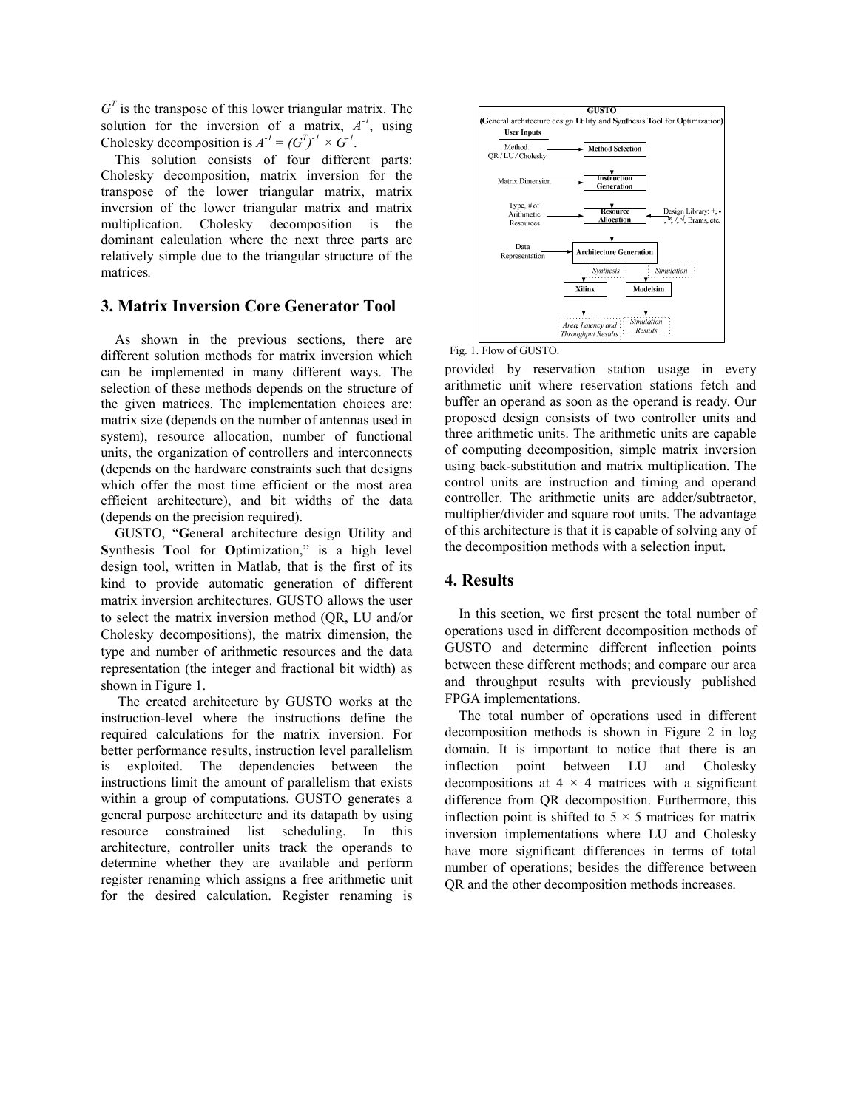$G<sup>T</sup>$  is the transpose of this lower triangular matrix. The solution for the inversion of a matrix,  $A^{-1}$ , using Cholesky decomposition is  $A^{-1} = (G^T)^{-1} \times G^{-1}$ .

This solution consists of four different parts: Cholesky decomposition, matrix inversion for the transpose of the lower triangular matrix, matrix inversion of the lower triangular matrix and matrix multiplication. Cholesky decomposition is the dominant calculation where the next three parts are relatively simple due to the triangular structure of the matrices*.*

# **3. Matrix Inversion Core Generator Tool**

As shown in the previous sections, there are different solution methods for matrix inversion which can be implemented in many different ways. The selection of these methods depends on the structure of the given matrices. The implementation choices are: matrix size (depends on the number of antennas used in system), resource allocation, number of functional units, the organization of controllers and interconnects (depends on the hardware constraints such that designs which offer the most time efficient or the most area efficient architecture), and bit widths of the data (depends on the precision required).

GUSTO, "**G**eneral architecture design **U**tility and **S**ynthesis **T**ool for **O**ptimization," is a high level design tool, written in Matlab, that is the first of its kind to provide automatic generation of different matrix inversion architectures. GUSTO allows the user to select the matrix inversion method (QR, LU and/or Cholesky decompositions), the matrix dimension, the type and number of arithmetic resources and the data representation (the integer and fractional bit width) as shown in Figure 1.

The created architecture by GUSTO works at the instruction-level where the instructions define the required calculations for the matrix inversion. For better performance results, instruction level parallelism is exploited. The dependencies between the instructions limit the amount of parallelism that exists within a group of computations. GUSTO generates a general purpose architecture and its datapath by using resource constrained list scheduling. In this architecture, controller units track the operands to determine whether they are available and perform register renaming which assigns a free arithmetic unit for the desired calculation. Register renaming is



Fig. 1. Flow of GUSTO.

provided by reservation station usage in every arithmetic unit where reservation stations fetch and buffer an operand as soon as the operand is ready. Our proposed design consists of two controller units and three arithmetic units. The arithmetic units are capable of computing decomposition, simple matrix inversion using back-substitution and matrix multiplication. The control units are instruction and timing and operand controller. The arithmetic units are adder/subtractor, multiplier/divider and square root units. The advantage of this architecture is that it is capable of solving any of the decomposition methods with a selection input.

## **4. Results**

In this section, we first present the total number of operations used in different decomposition methods of GUSTO and determine different inflection points between these different methods; and compare our area and throughput results with previously published FPGA implementations.

The total number of operations used in different decomposition methods is shown in Figure 2 in log domain. It is important to notice that there is an inflection point between LU and Cholesky decompositions at  $4 \times 4$  matrices with a significant difference from QR decomposition. Furthermore, this inflection point is shifted to  $5 \times 5$  matrices for matrix inversion implementations where LU and Cholesky have more significant differences in terms of total number of operations; besides the difference between QR and the other decomposition methods increases.